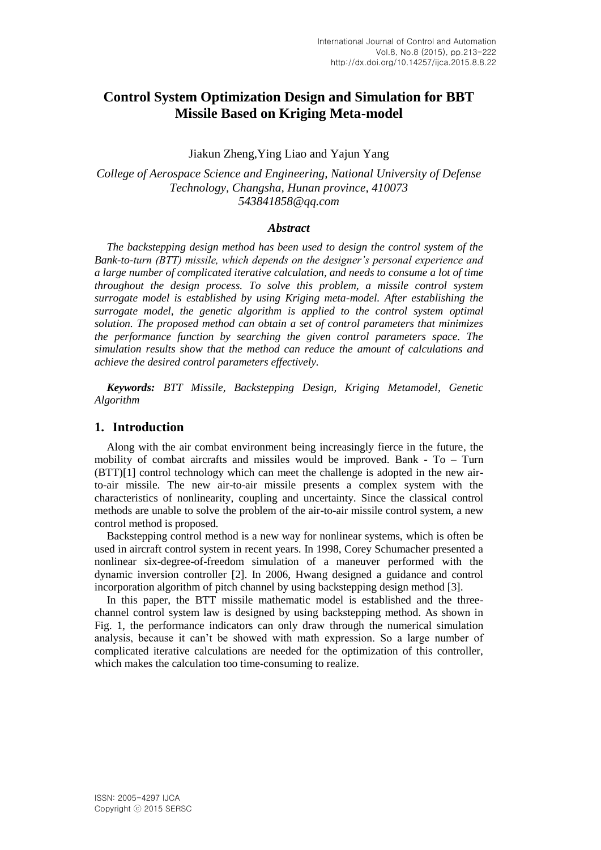# **Control System Optimization Design and Simulation for BBT Missile Based on Kriging Meta-model**

#### Jiakun Zheng,Ying Liao and Yajun Yang

*College of Aerospace Science and Engineering, National University of Defense Technology, Changsha, Hunan province, 410073 543841858@qq.com*

#### *Abstract*

*The backstepping design method has been used to design the control system of the Bank-to-turn (BTT) missile, which depends on the designer's personal experience and a large number of complicated iterative calculation, and needs to consume a lot of time throughout the design process. To solve this problem, a missile control system surrogate model is established by using Kriging meta-model. After establishing the surrogate model, the genetic algorithm is applied to the control system optimal solution. The proposed method can obtain a set of control parameters that minimizes the performance function by searching the given control parameters space. The simulation results show that the method can reduce the amount of calculations and achieve the desired control parameters effectively.*

*Keywords: BTT Missile, Backstepping Design, Kriging Metamodel, Genetic Algorithm*

# **1. Introduction**

Along with the air combat environment being increasingly fierce in the future, the mobility of combat aircrafts and missiles would be improved. Bank - To – Turn (BTT)[1] control technology which can meet the challenge is adopted in the new airto-air missile. The new air-to-air missile presents a complex system with the characteristics of nonlinearity, coupling and uncertainty. Since the classical control methods are unable to solve the problem of the air-to-air missile control system, a new control method is proposed.

Backstepping control method is a new way for nonlinear systems, which is often be used in aircraft control system in recent years. In 1998, Corey Schumacher presented a nonlinear six-degree-of-freedom simulation of a maneuver performed with the dynamic inversion controller [2]. In 2006, Hwang designed a guidance and control incorporation algorithm of pitch channel by using backstepping design method [3].

In this paper, the BTT missile mathematic model is established and the threechannel control system law is designed by using backstepping method. As shown in Fig. 1, the performance indicators can only draw through the numerical simulation analysis, because it can't be showed with math expression. So a large number of complicated iterative calculations are needed for the optimization of this controller, which makes the calculation too time-consuming to realize.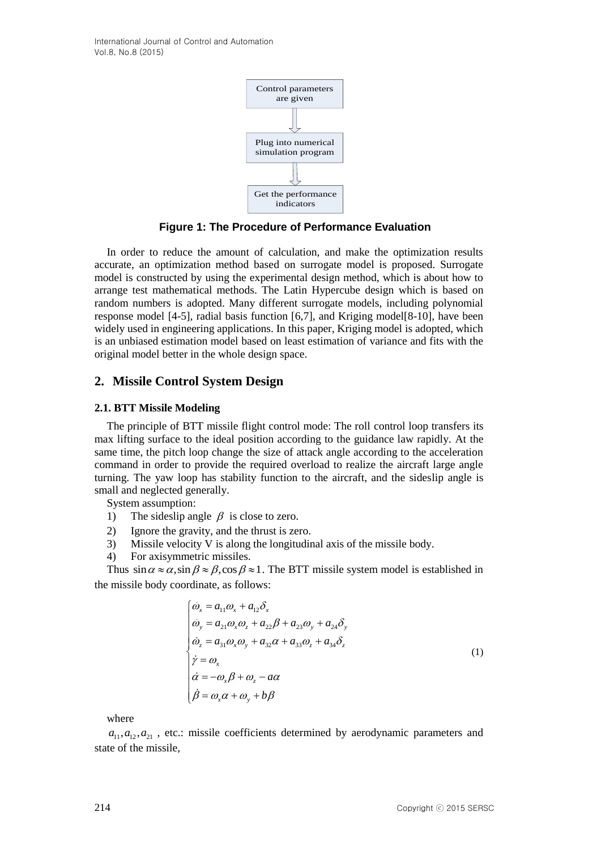

**Figure 1: The Procedure of Performance Evaluation**

In order to reduce the amount of calculation, and make the optimization results accurate, an optimization method based on surrogate model is proposed. Surrogate model is constructed by using the experimental design method, which is about how to arrange test mathematical methods. The Latin Hypercube design which is based on random numbers is adopted. Many different surrogate models, including polynomial response model [4-5], radial basis function [6,7], and Kriging model[8-10], have been widely used in engineering applications. In this paper, Kriging model is adopted, which is an unbiased estimation model based on least estimation of variance and fits with the original model better in the whole design space.

# **2. Missile Control System Design**

### **2.1. BTT Missile Modeling**

The principle of BTT missile flight control mode: The roll control loop transfers its max lifting surface to the ideal position according to the guidance law rapidly. At the same time, the pitch loop change the size of attack angle according to the acceleration command in order to provide the required overload to realize the aircraft large angle turning. The yaw loop has stability function to the aircraft, and the sideslip angle is small and neglected generally.

System assumption:

- 1) The sideslip angle  $\beta$  is close to zero.
- 2) Ignore the gravity, and the thrust is zero.
- 3) Missile velocity V is along the longitudinal axis of the missile body.
- 4) For axisymmetric missiles.

Thus  $\sin \alpha \approx \alpha$ ,  $\sin \beta \approx \beta$ ,  $\cos \beta \approx 1$ . The BTT missile system model is established in the missile body coordinate, as follows:

$$
\begin{cases}\n\dot{\omega}_x = a_{11}\omega_x + a_{12}\delta_x \\
\dot{\omega}_y = a_{21}\omega_x\omega_z + a_{22}\beta + a_{23}\omega_y + a_{24}\delta_y \\
\dot{\omega}_z = a_{31}\omega_x\omega_y + a_{32}\alpha + a_{33}\omega_z + a_{34}\delta_z \\
\dot{\gamma} = \omega_x \\
\dot{\alpha} = -\omega_x\beta + \omega_z - a\alpha \\
\dot{\beta} = \omega_x\alpha + \omega_y + b\beta\n\end{cases} (1)
$$

where

 $a_{11}, a_{12}, a_{21}$ , etc.: missile coefficients determined by aerodynamic parameters and state of the missile,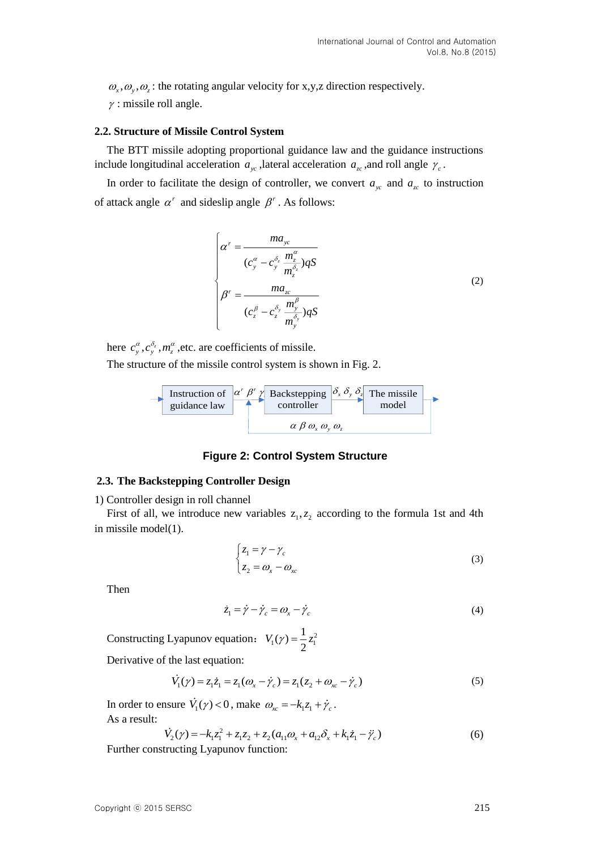$\omega_x, \omega_y, \omega_z$ : the rotating angular velocity for x,y,z direction respectively.

 $\gamma$ : missile roll angle.

#### **2.2. Structure of Missile Control System**

The BTT missile adopting proportional guidance law and the guidance instructions include longitudinal acceleration  $a_{yc}$ , lateral acceleration  $a_{zc}$ , and roll angle  $\gamma_c$ .

In order to facilitate the design of controller, we convert  $a_{yc}$  and  $a_{zc}$  to instruction of attack angle  $\alpha^r$  and sideslip angle  $\beta^r$ . As follows:

$$
\begin{cases}\n\alpha^r = \frac{ma_{yc}}{(c_y^{\alpha} - c_y^{\delta_z} \frac{m_z^{\alpha}}{m_z^{\delta_z}})qS} \\
\beta^r = \frac{ma_{zc}}{(c_z^{\beta} - c_z^{\delta_y} \frac{m_y^{\beta}}{m_y^{\delta_y}})qS}\n\end{cases}
$$
\n(2)

here  $c_{y}^{\alpha}, c_{y}^{\delta_{z}}, m_{z}^{\alpha}$ , etc. are coefficients of missile. The structure of the missile control system is shown in Fig. 2.



#### **Figure 2: Control System Structure**

### **2.3. The Backstepping Controller Design**

1) Controller design in roll channel

First of all, we introduce new variables  $z_1, z_2$  according to the formula 1st and 4th in missile model(1).

$$
\begin{cases} z_1 = \gamma - \gamma_c \\ z_2 = \omega_x - \omega_{xc} \end{cases}
$$
 (3)

Then

$$
\dot{z}_1 = \dot{\gamma} - \dot{\gamma}_c = \omega_x - \dot{\gamma}_c \tag{4}
$$

Constructing Lyapunov equation:  $V_1(\gamma) = \frac{1}{2}z_1^2$  $V_1(\gamma) = \frac{1}{2}z$ 

Derivative of the last equation:

$$
\dot{V}_1(\gamma) = z_1 \dot{z}_1 = z_1 (\omega_x - \dot{\gamma}_c) = z_1 (z_2 + \omega_{xc} - \dot{\gamma}_c)
$$
\n(5)

In order to ensure  $V_1(\gamma) < 0$ , make  $\omega_{\alpha} = -k_1 z_1 + \dot{\gamma}_c$ . As a result:

$$
\dot{V}_2(\gamma) = -k_1 z_1^2 + z_1 z_2 + z_2 (a_{11} \omega_x + a_{12} \delta_x + k_1 \dot{z}_1 - \ddot{\gamma}_c)
$$
(6)

Further constructing Lyapunov function: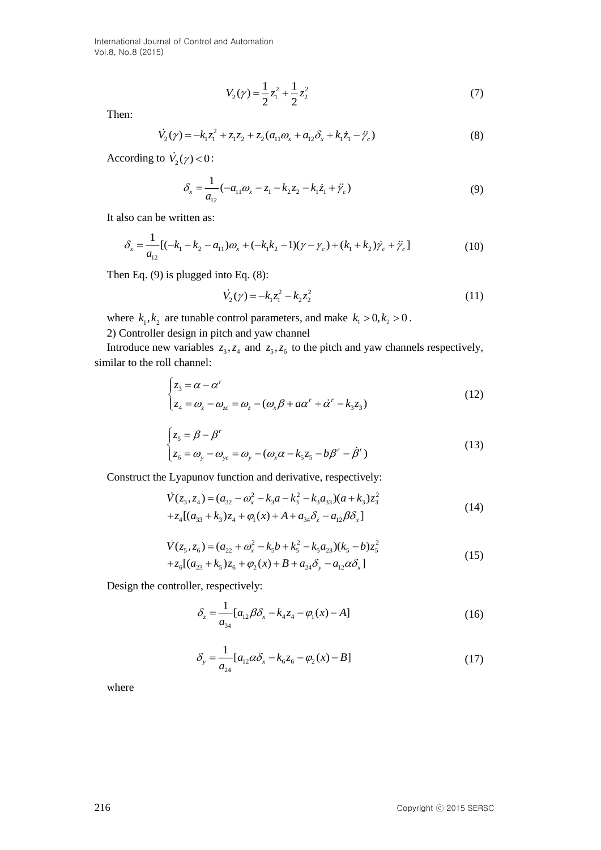International Journal of Control and Automation Vol.8, No.8 (2015)

$$
V_2(\gamma) = \frac{1}{2}z_1^2 + \frac{1}{2}z_2^2
$$
\n(7)

Then:

$$
\dot{V}_2(\gamma) = -k_1 z_1^2 + z_1 z_2 + z_2 (a_{11} \omega_x + a_{12} \delta_x + k_1 \dot{z}_1 - \ddot{\gamma}_c)
$$
\n(8)

According to  $V_2(\gamma) < 0$ :

$$
\delta_x = \frac{1}{a_{12}}(-a_{11}a_x - z_1 - k_2 z_2 - k_1 \dot{z}_1 + \ddot{y}_c)
$$
\n(9)

It also can be written as:

$$
\delta_x = \frac{1}{a_{12}} [(-k_1 - k_2 - a_{11}) \omega_x + (-k_1 k_2 - 1)(\gamma - \gamma_c) + (k_1 + k_2) \dot{\gamma}_c + \ddot{\gamma}_c] \tag{10}
$$

Then Eq. (9) is plugged into Eq. (8):

$$
\dot{V}_2(\gamma) = -k_1 z_1^2 - k_2 z_2^2 \tag{11}
$$

where  $k_1, k_2$  are tunable control parameters, and make  $k_1 > 0, k_2 > 0$ .

2) Controller design in pitch and yaw channel

Introduce new variables  $z_3$ ,  $z_4$  and  $z_5$ ,  $z_6$  to the pitch and yaw channels respectively, similar to the roll channel:

$$
V_2(y) = \frac{1}{2}z_1^2 + \frac{1}{2}z_2^2
$$
 (7)  
\nThen:  
\n $\hat{V}_2(y) = -k_1z_1^2 + z_1z_2 + z_2(a_1\omega_x + a_{12}\delta_x + k_1\dot{z}_1 - \dot{y}_e)$  (8)  
\nAccording to  $\vec{V}_2(y) < 0$ :  
\n $\delta_x = \frac{1}{a_{12}}(-a_{11}\omega_x - z_1 - k_2z_2 - k_1\dot{z}_1 + \ddot{y}_e)$  (9)  
\nIt also can be written as:  
\n $\delta_x = \frac{1}{a_{12}}[-(k_1 - k_2 - a_{11})\omega_x + (-k_1k_2 - 1)(y - \gamma_e) + (k_1 + k_2)\dot{y}_e + \ddot{y}_e]$  (10)  
\nThen Eq. (9) is plugged into Eq. (8):  
\n $\vec{V}_2(y) = -k_1z_1^2 - k_2z_2^2$  (11)  
\nwhere  $k_1, k_2$  are tunable control parameters, and make  $k_1 > 0, k_2 > 0$ .  
\nConstruct design in pitch and yaw channel  
\nIntroduce new variables  $z_3, z_4$  and  $z_5, z_6$  to the pitch and yaw channels respectively,  
\nsimilar to the roll channel:  
\n
$$
\begin{cases}\nz_3 = \beta - \beta'\\z_4 = \omega_z - \omega_x = \omega_z - (\omega_x\beta + a\alpha' + \dot{\alpha}' - k_3z_3)\\z_5 = \beta - \beta'\\z_6 = \omega_y - \omega_{yx} = \omega_y - (\omega_x\alpha - k_3z_5 - b\beta' - \dot{\beta}')\end{cases}
$$
 (12)  
\nConstruct the Lyapunov function and derivative, respectively:  
\n $\vec{V}(z_3, z_4) = (a_{22} - \omega_3^2 - k_3a - k_3^2 - k_4a_{23})(a_k + k_3)z_3^2$   
\n+ $z_4[(a_{33} + k_3)z_4 + g_1(x) + A + a_{34}\delta_z - a_{12}\beta\delta_z]$  (14)  
\n $\vec{V}(z_3, z_6) = (a_{22} + \omega_x^2 - k_5a_{$ 

$$
\begin{cases} z_5 = \beta - \beta^r \\ z_6 = \omega_y - \omega_{yc} = \omega_y - (\omega_x \alpha - k_5 z_5 - b \beta^r - \dot{\beta}^r) \end{cases}
$$
 (13)

Construct the Lyapunov function and derivative, respectively:

$$
\dot{V}(z_3, z_4) = (a_{32} - \omega_x^2 - k_3 a - k_3^2 - k_3 a_{33})(a + k_3)z_3^2
$$
  
+
$$
z_4[(a_{33} + k_3)z_4 + \varphi_1(x) + A + a_{34}\delta_z - a_{12}\beta\delta_x]
$$
 (14)

$$
\dot{V}(z_5, z_6) = (a_{22} + \omega_x^2 - k_5 b + k_5^2 - k_5 a_{23})(k_5 - b)z_5^2
$$
  
+
$$
z_6 [(a_{23} + k_5)z_6 + \varphi_2(x) + B + a_{24}\delta_y - a_{12}\alpha \delta_x]
$$
\n(15)

Design the controller, respectively:

$$
\delta_z = \frac{1}{a_{34}} [a_{12} \beta \delta_x - k_4 z_4 - \varphi_1(x) - A]
$$
\n(16)

$$
\delta_y = \frac{1}{a_{24}} [a_{12} \alpha \delta_x - k_6 z_6 - \varphi_2(x) - B]
$$
\n(17)

where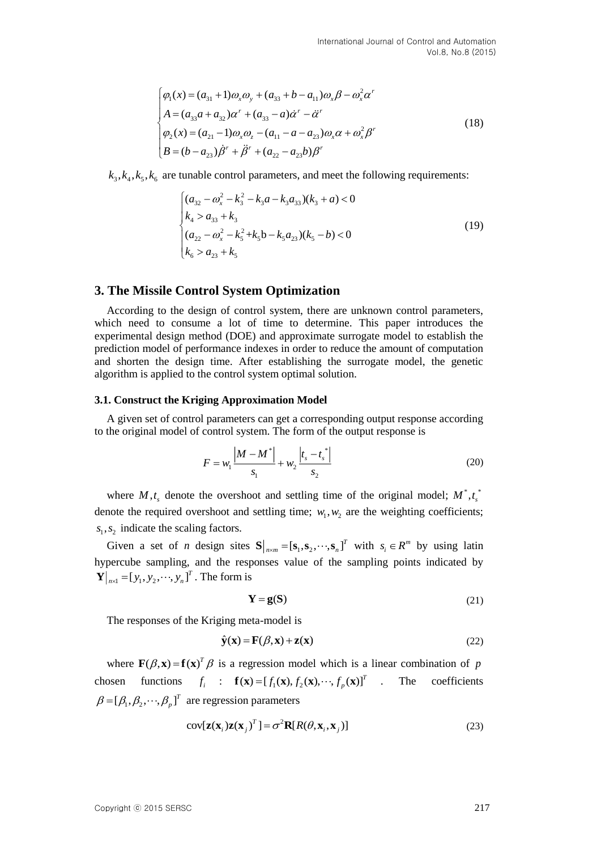$$
\begin{cases}\n\varphi_1(x) = (a_{31} + 1)\omega_x \omega_y + (a_{33} + b - a_{11})\omega_x \beta - \omega_x^2 \alpha' \\
A = (a_{33}a + a_{32})\alpha' + (a_{33} - a)\alpha' - \alpha' \\
\varphi_2(x) = (a_{21} - 1)\omega_x \omega_z - (a_{11} - a - a_{23})\omega_x \alpha + \omega_x^2 \beta' \\
B = (b - a_{23})\beta' + \beta' + (a_{22} - a_{23}b)\beta'\n\end{cases}
$$
\n(18)

 $k_3, k_4, k_5, k_6$  are tunable control parameters, and meet the following requirements:

$$
\begin{cases}\n(a_{32} - \omega_x^2 - k_3^2 - k_3 a - k_3 a_{33})(k_3 + a) < 0 \\
k_4 > a_{33} + k_3 \\
(a_{22} - \omega_x^2 - k_5^2 + k_5 b - k_5 a_{23})(k_5 - b) < 0 \\
k_6 > a_{23} + k_5\n\end{cases} \tag{19}
$$

### **3. The Missile Control System Optimization**

According to the design of control system, there are unknown control parameters, which need to consume a lot of time to determine. This paper introduces the experimental design method (DOE) and approximate surrogate model to establish the prediction model of performance indexes in order to reduce the amount of computation and shorten the design time. After establishing the surrogate model, the genetic algorithm is applied to the control system optimal solution.

#### **3.1. Construct the Kriging Approximation Model**

A given set of control parameters can get a corresponding output response according to the original model of control system. The form of the output response is

$$
F = w_1 \frac{|M - M^*|}{s_1} + w_2 \frac{|t_s - t^*|}{s_2}
$$
 (20)

where  $M, t_s$  denote the overshoot and settling time of the original model;  $M^*, t_s^*$ denote the required overshoot and settling time;  $w_1, w_2$  are the weighting coefficients;  $s_1, s_2$  indicate the scaling factors.

Given a set of *n* design sites  $S|_{n \times m} = [s_1, s_2, \dots, s_n]^T$  with  $s_i \in R^m$  by using latin hypercube sampling, and the responses value of the sampling points indicated by  $\mathbf{Y}\big|_{n \times 1} = [y_1, y_2, \dots, y_n]^T$ . The form is

$$
Y = g(S) \tag{21}
$$

The responses of the Kriging meta-model is

$$
\hat{\mathbf{y}}(\mathbf{x}) = \mathbf{F}(\beta, \mathbf{x}) + \mathbf{z}(\mathbf{x})
$$
\n(22)

where  $\mathbf{F}(\beta, \mathbf{x}) = \mathbf{f}(\mathbf{x})^T \beta$  is a regression model which is a linear combination of p chosen functions  $f_i$  :  $\mathbf{f}(\mathbf{x}) = [f_1(\mathbf{x}), f_2(\mathbf{x}), \cdots, f_p(\mathbf{x})]^T$ The coefficients  $\beta = [\beta_1, \beta_2, \cdots, \beta_p]^T$  are regression parameters

$$
cov[\mathbf{z}(\mathbf{x}_i)\mathbf{z}(\mathbf{x}_j)^T] = \sigma^2 \mathbf{R}[R(\theta, \mathbf{x}_i, \mathbf{x}_j)]
$$
\n(23)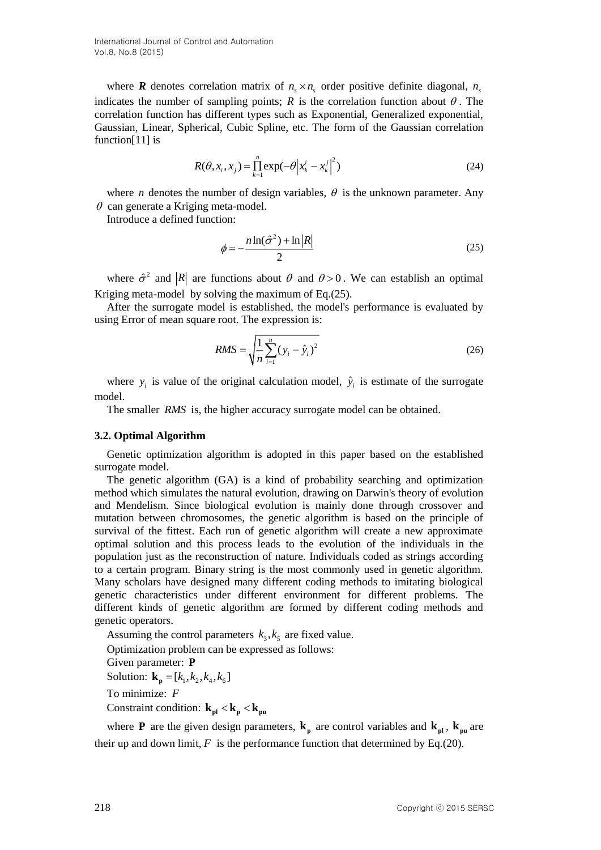where **R** denotes correlation matrix of  $n_s \times n_s$  order positive definite diagonal,  $n_s$ indicates the number of sampling points;  $R$  is the correlation function about  $\theta$ . The correlation function has different types such as Exponential, Generalized exponential, Gaussian, Linear, Spherical, Cubic Spline, etc. The form of the Gaussian correlation function[11] is

$$
R(\theta, x_i, x_j) = \prod_{k=1}^{n} \exp(-\theta |x_k^i - x_k^j|^2)
$$
 (24)

where *n* denotes the number of design variables,  $\theta$  is the unknown parameter. Any  $\theta$  can generate a Kriging meta-model.

Introduce a defined function:

$$
\phi = -\frac{n \ln(\hat{\sigma}^2) + \ln|R|}{2} \tag{25}
$$

where  $\hat{\sigma}^2$  and |R| are functions about  $\theta$  and  $\theta > 0$ . We can establish an optimal Kriging meta-model by solving the maximum of Eq.(25).

After the surrogate model is established, the model's performance is evaluated by using Error of mean square root. The expression is:

$$
RMS = \sqrt{\frac{1}{n} \sum_{i=1}^{n} (y_i - \hat{y}_i)^2}
$$
 (26)

where  $y_i$  is value of the original calculation model,  $\hat{y}_i$  is estimate of the surrogate model.

The smaller *RMS* is, the higher accuracy surrogate model can be obtained.

#### **3.2. Optimal Algorithm**

Genetic optimization algorithm is adopted in this paper based on the established surrogate model.

The genetic algorithm (GA) is a kind of probability searching and optimization method which simulates the natural evolution, drawing on Darwin's theory of evolution and Mendelism. Since biological evolution is mainly done through crossover and mutation between chromosomes, the genetic algorithm is based on the principle of survival of the fittest. Each run of genetic algorithm will create a new approximate optimal solution and this process leads to the evolution of the individuals in the population just as the reconstruction of nature. Individuals coded as strings according to a certain program. Binary string is the most commonly used in genetic algorithm. Many scholars have designed many different coding methods to imitating biological genetic characteristics under different environment for different problems. The different kinds of genetic algorithm are formed by different coding methods and genetic operators.

Assuming the control parameters  $k_3, k_5$  are fixed value.

Optimization problem can be expressed as follows:

Given parameter: **P**

Solution:  $\mathbf{k}_p = [k_1, k_2, k_4, k_6]$ 

To minimize: *F*

Constraint condition:  $\mathbf{k}_{\text{pl}} < \mathbf{k}_{\text{p}} < \mathbf{k}_{\text{pu}}$ 

where **P** are the given design parameters,  $\bf{k}_p$  are control variables and  $\bf{k}_{pl}$ ,  $\bf{k}_{pu}$  are their up and down limit,  $F$  is the performance function that determined by Eq.(20).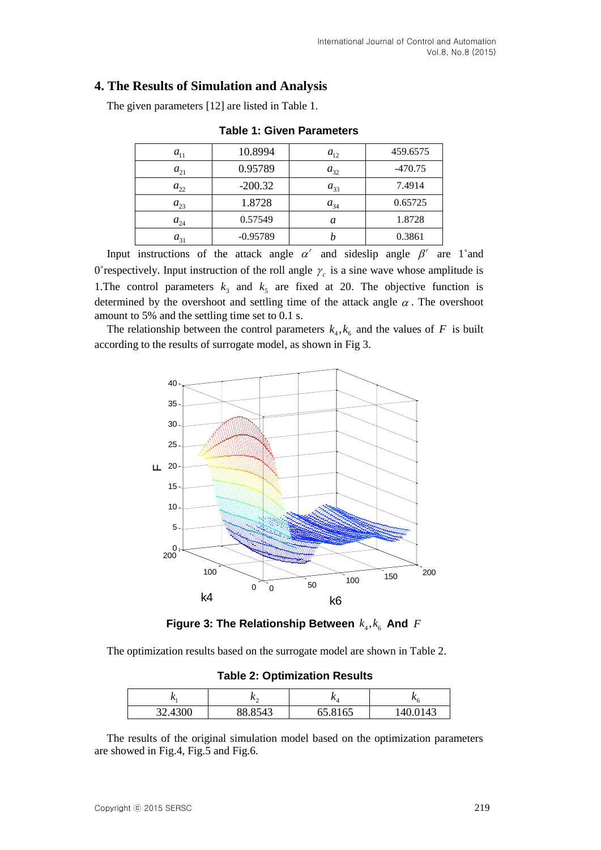# **4. The Results of Simulation and Analysis**

The given parameters [12] are listed in Table 1.

| $a_{11}$ | 10.8994    | $a_{12}$ | 459.6575  |
|----------|------------|----------|-----------|
| $a_{21}$ | 0.95789    | $a_{32}$ | $-470.75$ |
| $a_{22}$ | $-200.32$  | $a_{33}$ | 7.4914    |
| $a_{23}$ | 1.8728     | $a_{34}$ | 0.65725   |
| $a_{24}$ | 0.57549    | a        | 1.8728    |
| $a_{31}$ | $-0.95789$ |          | 0.3861    |

**Table 1: Given Parameters**

Input instructions of the attack angle  $\alpha^r$  and sideslip angle  $\beta^r$  are 1° and 0° respectively. Input instruction of the roll angle  $\gamma_c$  is a sine wave whose amplitude is 1. The control parameters  $k_3$  and  $k_5$  are fixed at 20. The objective function is determined by the overshoot and settling time of the attack angle  $\alpha$ . The overshoot amount to 5% and the settling time set to 0.1 s.

The relationship between the control parameters  $k_4, k_6$  and the values of F is built according to the results of surrogate model, as shown in Fig 3.



Figure 3: The Relationship Between  $k_4, k_6$  And  $F$ 

The optimization results based on the surrogate model are shown in Table 2.

**Table 2: Optimization Results**

| $\mathbf{v}$ | $\sim$  | $\mathbf{v}_4$ |          |
|--------------|---------|----------------|----------|
| 32.4300      | 88.8543 | 65.8165        | 140.0143 |

The results of the original simulation model based on the optimization parameters are showed in Fig.4, Fig.5 and Fig.6.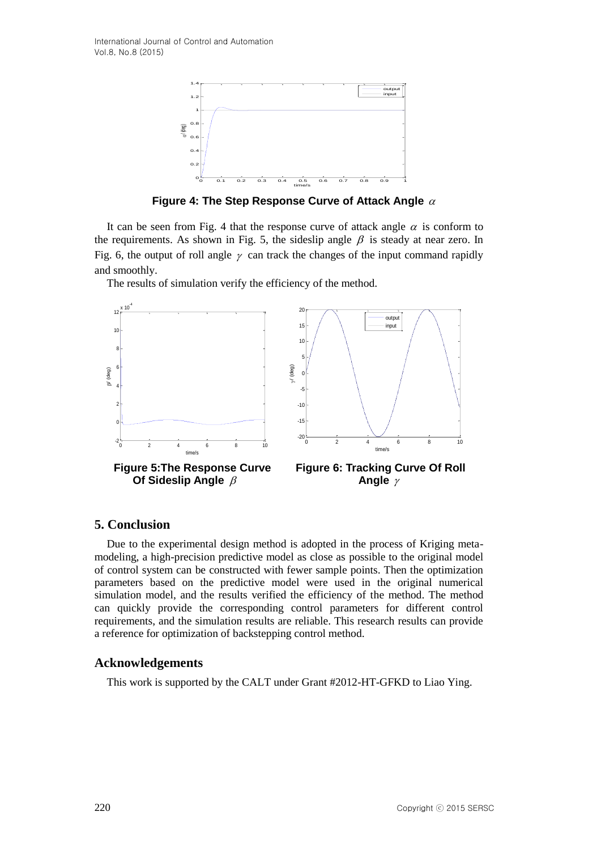International Journal of Control and Automation Vol.8, No.8 (2015)



**Figure 4: The Step Response Curve of Attack Angle** 

It can be seen from Fig. 4 that the response curve of attack angle  $\alpha$  is conform to the requirements. As shown in Fig. 5, the sideslip angle  $\beta$  is steady at near zero. In Fig. 6, the output of roll angle  $\gamma$  can track the changes of the input command rapidly and smoothly.

The results of simulation verify the efficiency of the method.



### **5. Conclusion**

Due to the experimental design method is adopted in the process of Kriging metamodeling, a high-precision predictive model as close as possible to the original model of control system can be constructed with fewer sample points. Then the optimization parameters based on the predictive model were used in the original numerical simulation model, and the results verified the efficiency of the method. The method can quickly provide the corresponding control parameters for different control requirements, and the simulation results are reliable. This research results can provide a reference for optimization of backstepping control method.

### **Acknowledgements**

This work is supported by the CALT under Grant #2012-HT-GFKD to Liao Ying.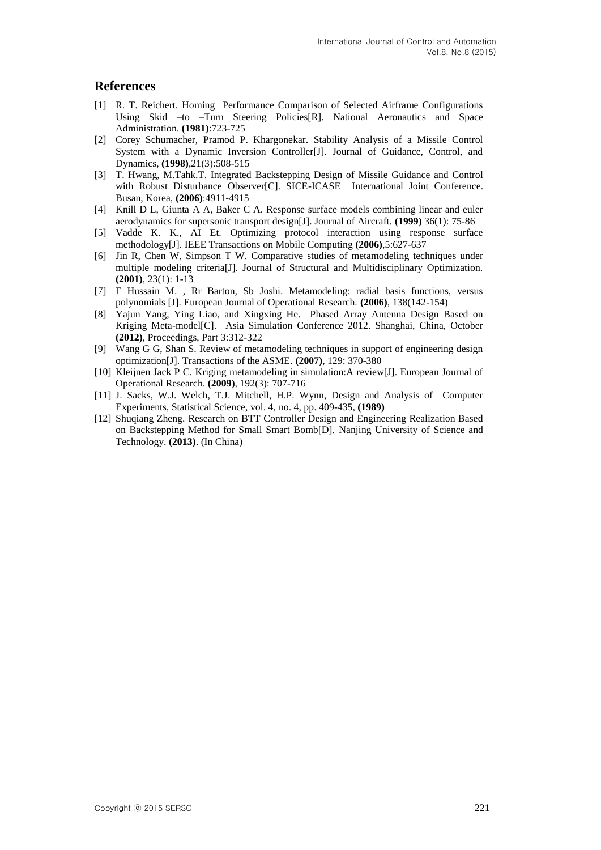### **References**

- [1] R. T. Reichert. Homing Performance Comparison of Selected Airframe Configurations Using Skid –to –Turn Steering Policies[R]. National Aeronautics and Space Administration. **(1981)**:723-725
- [2] Corey Schumacher, Pramod P. Khargonekar. Stability Analysis of a Missile Control System with a Dynamic Inversion Controller[J]. Journal of Guidance, Control, and Dynamics, **(1998)**,21(3):508-515
- [3] T. Hwang, M.Tahk.T. Integrated Backstepping Design of Missile Guidance and Control with Robust Disturbance Observer[C]. SICE-ICASE International Joint Conference. Busan, Korea, **(2006)**:4911-4915
- [4] Knill D L, Giunta A A, Baker C A. Response surface models combining linear and euler aerodynamics for supersonic transport design[J]. Journal of Aircraft. **(1999)** 36(1): 75-86
- [5] Vadde K. K., AI Et. Optimizing protocol interaction using response surface methodology[J]. IEEE Transactions on Mobile Computing **(2006)**,5:627-637
- [6] Jin R, Chen W, Simpson T W. Comparative studies of metamodeling techniques under multiple modeling criteria[J]. Journal of Structural and Multidisciplinary Optimization. **(2001)**, 23(1): 1-13
- [7] F Hussain M. , Rr Barton, Sb Joshi. Metamodeling: radial basis functions, versus polynomials [J]. European Journal of Operational Research. **(2006)**, 138(142-154)
- [8] Yajun Yang, Ying Liao, and Xingxing He. Phased Array Antenna Design Based on Kriging Meta-model[C]. Asia Simulation Conference 2012. Shanghai, China, October **(2012)**, Proceedings, Part 3:312-322
- [9] Wang G G, Shan S. Review of metamodeling techniques in support of engineering design optimization[J]. Transactions of the ASME. **(2007)**, 129: 370-380
- [10] Kleijnen Jack P C. Kriging metamodeling in simulation:A review[J]. European Journal of Operational Research. **(2009)**, 192(3): 707-716
- [11] J. Sacks, W.J. Welch, T.J. Mitchell, H.P. Wynn, Design and Analysis of Computer Experiments, Statistical Science, vol. 4, no. 4, pp. 409-435, **(1989)**
- [12] Shuqiang Zheng. Research on BTT Controller Design and Engineering Realization Based on Backstepping Method for Small Smart Bomb[D]. Nanjing University of Science and Technology. **(2013)**. (In China)